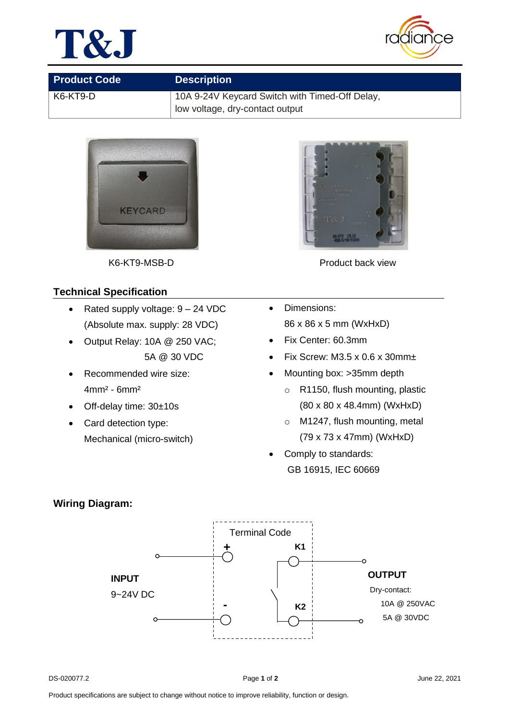



| <b>Product Code</b> | <b>Description</b>                             |  |
|---------------------|------------------------------------------------|--|
| K6-KT9-D            | 10A 9-24V Keycard Switch with Timed-Off Delay, |  |
|                     | low voltage, dry-contact output                |  |



## **Technical Specification**

- Rated supply voltage:  $9 24$  VDC (Absolute max. supply: 28 VDC)
- Output Relay: 10A @ 250 VAC; 5A @ 30 VDC
- Recommended wire size: 4mm² - 6mm²
- Off-delay time: 30±10s
- Card detection type: Mechanical (micro-switch)



K6-KT9-MSB-D **Product back view** 

- Dimensions: 86 x 86 x 5 mm (WxHxD)
- Fix Center: 60.3mm
- Fix Screw: M3.5 x 0.6 x 30mm $\pm$
- Mounting box: >35mm depth
	- o R1150, flush mounting, plastic (80 x 80 x 48.4mm) (WxHxD)
	- o M1247, flush mounting, metal (79 x 73 x 47mm) (WxHxD)
- Comply to standards: GB 16915, IEC 60669

## **Wiring Diagram:**